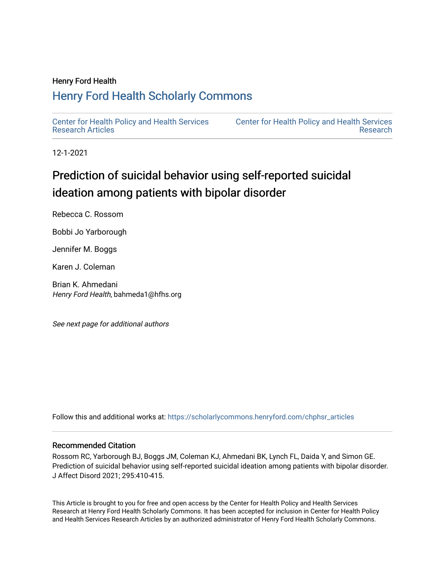# Henry Ford Health

# [Henry Ford Health Scholarly Commons](https://scholarlycommons.henryford.com/)

[Center for Health Policy and Health Services](https://scholarlycommons.henryford.com/chphsr_articles) [Research Articles](https://scholarlycommons.henryford.com/chphsr_articles) 

[Center for Health Policy and Health Services](https://scholarlycommons.henryford.com/chphsr)  [Research](https://scholarlycommons.henryford.com/chphsr) 

12-1-2021

# Prediction of suicidal behavior using self-reported suicidal ideation among patients with bipolar disorder

Rebecca C. Rossom

Bobbi Jo Yarborough

Jennifer M. Boggs

Karen J. Coleman

Brian K. Ahmedani Henry Ford Health, bahmeda1@hfhs.org

See next page for additional authors

Follow this and additional works at: [https://scholarlycommons.henryford.com/chphsr\\_articles](https://scholarlycommons.henryford.com/chphsr_articles?utm_source=scholarlycommons.henryford.com%2Fchphsr_articles%2F247&utm_medium=PDF&utm_campaign=PDFCoverPages) 

### Recommended Citation

Rossom RC, Yarborough BJ, Boggs JM, Coleman KJ, Ahmedani BK, Lynch FL, Daida Y, and Simon GE. Prediction of suicidal behavior using self-reported suicidal ideation among patients with bipolar disorder. J Affect Disord 2021; 295:410-415.

This Article is brought to you for free and open access by the Center for Health Policy and Health Services Research at Henry Ford Health Scholarly Commons. It has been accepted for inclusion in Center for Health Policy and Health Services Research Articles by an authorized administrator of Henry Ford Health Scholarly Commons.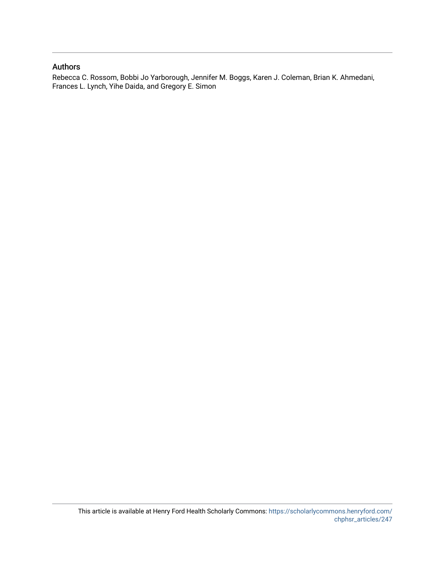## Authors

Rebecca C. Rossom, Bobbi Jo Yarborough, Jennifer M. Boggs, Karen J. Coleman, Brian K. Ahmedani, Frances L. Lynch, Yihe Daida, and Gregory E. Simon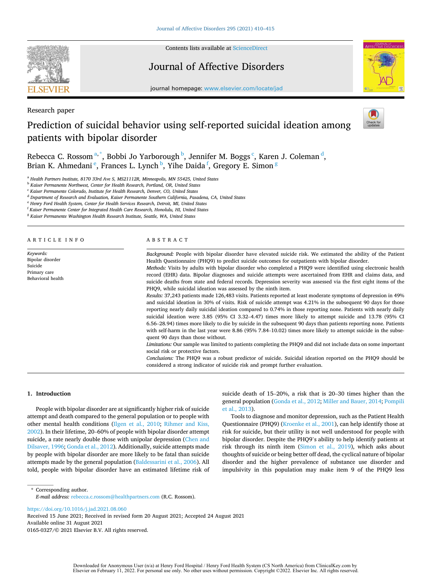

Contents lists available at [ScienceDirect](www.sciencedirect.com/science/journal/01650327)

# Journal of Affective Disorders



journal homepage: [www.elsevier.com/locate/jad](https://www.elsevier.com/locate/jad)

Research paper

# Prediction of suicidal behavior using self-reported suicidal ideation among patients with bipolar disorder



Rebecca C. Rossom $a,^*$ , Bobbi Jo Yarborough $^{\rm b}$ , Jennifer M. Boggs  $^{\rm c}$ , Karen J. Coleman $^{\rm d}$ , Brian K. Ahmedani  $\mathrm{^e_\cdot}$  Frances L. Lynch  $\mathrm{^b_\cdot}$  Yihe Daida  $\mathrm{^f_\cdot}$  Gregory E. Simon  $\mathrm{^g_\cdot}$ 

<sup>a</sup> *Health Partners Institute, 8170 33rd Ave S, MS21112R, Minneapolis, MN 55425, United States* 

<sup>b</sup> *Kaiser Permanente Northwest, Center for Health Research, Portland, OR, United States* 

<sup>c</sup> *Kaiser Permanente Colorado, Institute for Health Research, Denver, CO, United States* 

<sup>d</sup> *Department of Research and Evaluation, Kaiser Permanente Southern California, Pasadena, CA, United States* 

<sup>e</sup> *Henry Ford Health System, Center for Health Services Research, Detroit, MI, United States* 

<sup>f</sup> *Kaiser Permanente Center for Integrated Health Care Research, Honolulu, HI, United States* 

<sup>g</sup> *Kaiser Permanente Washington Health Research Institute, Seattle, WA, United States* 

ARTICLE INFO

*Keywords:*  Bipolar disorder Suicide Primary care Behavioral health

### ABSTRACT

*Background:* People with bipolar disorder have elevated suicide risk. We estimated the ability of the Patient Health Questionnaire (PHQ9) to predict suicide outcomes for outpatients with bipolar disorder. *Methods:* Visits by adults with bipolar disorder who completed a PHQ9 were identified using electronic health record (EHR) data. Bipolar diagnoses and suicide attempts were ascertained from EHR and claims data, and suicide deaths from state and federal records. Depression severity was assessed via the first eight items of the PHQ9, while suicidal ideation was assessed by the ninth item. *Results:* 37,243 patients made 126,483 visits. Patients reported at least moderate symptoms of depression in 49% and suicidal ideation in 30% of visits. Risk of suicide attempt was 4.21% in the subsequent 90 days for those

reporting nearly daily suicidal ideation compared to 0.74% in those reporting none. Patients with nearly daily suicidal ideation were 3.85 (95% CI 3.32–4.47) times more likely to attempt suicide and 13.78 (95% CI 6.56–28.94) times more likely to die by suicide in the subsequent 90 days than patients reporting none. Patients with self-harm in the last year were 8.86 (95% 7.84–10.02) times more likely to attempt suicide in the subsequent 90 days than those without

*Limitations:* Our sample was limited to patients completing the PHQ9 and did not include data on some important social risk or protective factors.

*Conclusions:* The PHQ9 was a robust predictor of suicide. Suicidal ideation reported on the PHQ9 should be considered a strong indicator of suicide risk and prompt further evaluation.

#### **1. Introduction**

People with bipolar disorder are at significantly higher risk of suicide attempt and death compared to the general population or to people with other mental health conditions ([Ilgen et al., 2010;](#page-7-0) [Rihmer and Kiss,](#page-7-0)  [2002\)](#page-7-0). In their lifetime, 20–60% of people with bipolar disorder attempt suicide, a rate nearly double those with unipolar depression (Chen and [Dilsaver, 1996](#page-6-0); [Gonda et al., 2012\)](#page-7-0). Additionally, suicide attempts made by people with bipolar disorder are more likely to be fatal than suicide attempts made by the general population [\(Baldessarini et al., 2006](#page-6-0)). All told, people with bipolar disorder have an estimated lifetime risk of suicide death of 15–20%, a risk that is 20–30 times higher than the general population ([Gonda et al., 2012; Miller and Bauer, 2014](#page-7-0); [Pompili](#page-7-0)  [et al., 2013\)](#page-7-0).

Tools to diagnose and monitor depression, such as the Patient Health Questionnaire (PHQ9) [\(Kroenke et al., 2001](#page-7-0)), can help identify those at risk for suicide, but their utility is not well understood for people with bipolar disorder. Despite the PHQ9's ability to help identify patients at risk through its ninth item ([Simon et al., 2019\)](#page-7-0), which asks about thoughts of suicide or being better off dead, the cyclical nature of bipolar disorder and the higher prevalence of substance use disorder and impulsivity in this population may make item 9 of the PHQ9 less

\* Corresponding author. *E-mail address:* [rebecca.c.rossom@healthpartners.com](mailto:rebecca.c.rossom@healthpartners.com) (R.C. Rossom).

<https://doi.org/10.1016/j.jad.2021.08.060>

Available online 31 August 2021 0165-0327/© 2021 Elsevier B.V. All rights reserved. Received 15 June 2021; Received in revised form 20 August 2021; Accepted 24 August 2021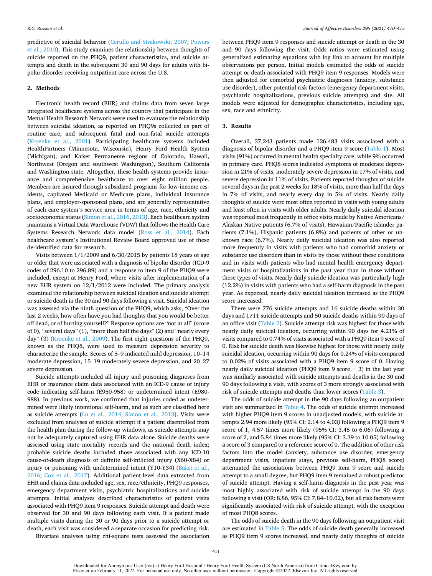predictive of suicidal behavior [\(Cerullo and Strakowski, 2007](#page-6-0); [Powers](#page-7-0)  [et al., 2013\)](#page-7-0). This study examines the relationship between thoughts of suicide reported on the PHQ9, patient characteristics, and suicide attempts and death in the subsequent 30 and 90 days for adults with bipolar disorder receiving outpatient care across the U.S.

### **2. Methods**

Electronic health record (EHR) and claims data from seven large integrated healthcare systems across the country that participate in the Mental Health Research Network were used to evaluate the relationship between suicidal ideation, as reported on PHQ9s collected as part of routine care, and subsequent fatal and non-fatal suicide attempts ([Kroenke et al., 2001\)](#page-7-0). Participating healthcare systems included HealthPartners (Minnesota, Wisconsin), Henry Ford Health System (Michigan), and Kaiser Permanente regions of Colorado, Hawaii, Northwest (Oregon and southwest Washington), Southern California and Washington state. Altogether, these health systems provide insurance and comprehensive healthcare to over eight million people. Members are insured through subsidized programs for low-income residents, capitated Medicaid or Medicare plans, individual insurance plans, and employer-sponsored plans, and are generally representative of each care system's service area in terms of age, race, ethnicity and socioeconomic status ([Simon et al., 2016, 2013\)](#page-7-0). Each healthcare system maintains a Virtual Data Warehouse (VDW) that follows the Health Care Systems Research Network data model [\(Ross et al., 2014](#page-7-0)). Each healthcare system's Institutional Review Board approved use of these de-identified data for research.

Visits between 1/1/2009 and 6/30/2015 by patients 18 years of age or older that were associated with a diagnosis of bipolar disorder (ICD-9 codes of 296.10 to 296.89) and a response to item 9 of the PHQ9 were included, except at Henry Ford, where visits after implementation of a new EHR system on 12/1/2012 were included. The primary analysis examined the relationship between suicidal ideation and suicide attempt or suicide death in the 30 and 90 days following a visit. Suicidal ideation was assessed via the ninth question of the PHQ9, which asks, "Over the last 2 weeks, how often have you had thoughts that you would be better off dead, or of hurting yourself?" Response options are "not at all" (score of 0), "several days" (1), "more than half the days" (2) and "nearly every day" (3) ([Kroenke et al., 2009](#page-7-0)). The first eight questions of the PHQ9, known as the PHQ8, were used to measure depression severity to characterize the sample. Scores of 5–9 indicated mild depression, 10–14 moderate depression, 15–19 moderately severe depression, and 20–27 severe depression.

Suicide attempts included all injury and poisoning diagnoses from EHR or insurance claim data associated with an ICD-9 cause of injury code indicating self-harm (E950-958) or undetermined intent (E980- 988). In previous work, we confirmed that injuries coded as undetermined were likely intentional self-harm, and as such are classified here as suicide attempts ([Lu et al., 2014](#page-7-0); [Simon et al., 2013](#page-7-0)). Visits were excluded from analyses of suicide attempt if a patient disenrolled from the health plan during the follow-up windows, as suicide attempts may not be adequately captured using EHR data alone. Suicide deaths were assessed using state mortality records and the national death index; probable suicide deaths included those associated with any ICD-10 cause-of-death diagnosis of definite self-inflicted injury (X60-X84) or injury or poisoning with undetermined intent (Y10-Y34) [\(Bakst et al.,](#page-6-0)  [2016;](#page-6-0) [Cox et al., 2017](#page-6-0)). Additional patient-level data extracted from EHR and claims data included age, sex, race/ethnicity, PHQ9 responses, emergency department visits, psychiatric hospitalizations and suicide attempts. Initial analyses described characteristics of patient visits associated with PHQ9 item 9 responses. Suicide attempt and death were observed for 30 and 90 days following each visit. If a patient made multiple visits during the 30 or 90 days prior to a suicide attempt or death, each visit was considered a separate occasion for predicting risk.

between PHQ9 item 9 responses and suicide attempt or death in the 30 and 90 days following the visit. Odds ratios were estimated using generalized estimating equations with log link to account for multiple observations per person. Initial models estimated the odds of suicide attempt or death associated with PHQ9 item 9 responses. Models were then adjusted for comorbid psychiatric diagnoses (anxiety, substance use disorder), other potential risk factors (emergency department visits, psychiatric hospitalizations, previous suicide attempts) and site. All models were adjusted for demographic characteristics, including age, sex, race and ethnicity.

### **3. Results**

Overall, 37,243 patients made 126,483 visits associated with a diagnosis of bipolar disorder and a PHQ9 item 9 score [\(Table 1\)](#page-4-0). Most visits (91%) occurred in mental health specialty care, while 9% occurred in primary care. PHQ8 scores indicated symptoms of moderate depression in 21% of visits, moderately severe depression in 17% of visits, and severe depression in 11% of visits. Patients reported thoughts of suicide several days in the past 2 weeks for 18% of visits, more than half the days in 7% of visits, and nearly every day in 5% of visits. Nearly daily thoughts of suicide were most often reported in visits with young adults and least often in visits with older adults. Nearly daily suicidal ideation was reported most frequently in office visits made by Native Americans/ Alaskan Native patients (6.7% of visits), Hawaiian/Pacific Islander patients (7.1%), Hispanic patients (6.8%) and patients of other or unknown race (6.7%). Nearly daily suicidal ideation was also reported more frequently in visits with patients who had comorbid anxiety or substance use disorders than in visits by those without these conditions and in visits with patients who had mental health emergency department visits or hospitalizations in the past year than in those without these types of visits. Nearly daily suicide ideation was particularly high (12.2%) in visits with patients who had a self-harm diagnosis in the past year. As expected, nearly daily suicidal ideation increased as the PHQ9 score increased.

There were 776 suicide attempts and 16 suicide deaths within 30 days and 1711 suicide attempts and 50 suicide deaths within 90 days of an office visit [\(Table 2](#page-4-0)). Suicide attempt risk was highest for those with nearly daily suicidal ideation, occurring within 90 days for 4.21% of visits compared to 0.74% of visits associated with a PHQ9 item 9 score of 0. Risk for suicide death was likewise highest for those with nearly daily suicidal ideation, occurring within 90 days for 0.24% of visits compared to 0.02% of visits associated with a PHQ9 item 9 score of 0. Having nearly daily suicidal ideation (PHQ9 item 9 score  $=$  3) in the last year was similarly associated with suicide attempts and deaths in the 30 and 90 days following a visit, with scores of 3 more strongly associated with risk of suicide attempts and deaths than lower scores [\(Table 3\)](#page-5-0).

The odds of suicide attempt in the 90 days following an outpatient visit are summarized in [Table 4.](#page-5-0) The odds of suicide attempt increased with higher PHQ9 item 9 scores in unadjusted models, with suicide attempts 2.94 more likely (95% CI: 2.14 to 4.03) following a PHQ9 item 9 score of 1, 4.57 times more likely (95% CI: 3.45 to 6.06) following a score of 2, and 5.84 times more likely (95% CI: 3.39 to 10.05) following a score of 3 compared to a reference score of 0. The addition of other risk factors into the model (anxiety, substance use disorder, emergency department visits, inpatient stays, previous self-harm, PHQ8 score) attenuated the associations between PHQ9 item 9 score and suicide attempt to a small degree, but PHQ9 item 9 remained a robust predictor of suicide attempt. Having a self-harm diagnosis in the past year was most highly associated with risk of suicide attempt in the 90 days following a visit (OR: 8.86, 95% CI: 7.84–10.02), but all risk factors were significantly associated with risk of suicide attempt, with the exception of most PHQ8 scores.

The odds of suicide death in the 90 days following an outpatient visit are estimated in [Table 5](#page-5-0). The odds of suicide death generally increased as PHQ9 item 9 scores increased, and nearly daily thoughts of suicide

Bivariate analyses using chi-square tests assessed the association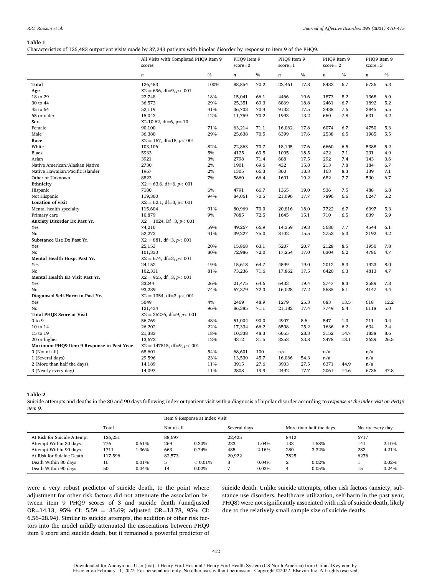#### <span id="page-4-0"></span>**Table 1**

Characteristics of 126,483 outpatient visits made by 37,243 patients with bipolar disorder by response to item 9 of the PHQ9.

|                                                           | All Visits with Completed PHQ9 Item 9<br>scores |      | PHQ9 Item 9 |               | PHQ9 Item 9      |      | PHQ9 Item 9 |      | PHQ9 Item 9      |      |
|-----------------------------------------------------------|-------------------------------------------------|------|-------------|---------------|------------------|------|-------------|------|------------------|------|
|                                                           |                                                 |      | $score=0$   |               | $score=1$        |      | $score = 2$ |      | $score=3$        |      |
|                                                           | $\boldsymbol{n}$                                | $\%$ | $\it n$     | $\frac{0}{0}$ | $\boldsymbol{n}$ | $\%$ | $\sqrt{n}$  | $\%$ | $\boldsymbol{n}$ | $\%$ |
| Total                                                     | 126,483                                         | 100% | 88,854      | 70.2          | 22,461           | 17.8 | 8432        | 6.7  | 6736             | 5.3  |
| Age                                                       | $X2 = 696$ , df=9, p< 001                       |      |             |               |                  |      |             |      |                  |      |
| 18 to 29                                                  | 22,748                                          | 18%  | 15,041      | 66.1          | 4466             | 19.6 | 1873        | 8.2  | 1368             | 6.0  |
| 30 to 44                                                  | 36,573                                          | 29%  | 25,351      | 69.3          | 6869             | 18.8 | 2461        | 6.7  | 1892             | 5.2  |
| 45 to 64                                                  | 52,119                                          | 41%  | 36,703      | 70.4          | 9133             | 17.5 | 3438        | 7.6  | 2845             | 5.5  |
| 65 or older                                               | 15,043                                          | 12%  | 11,759      | 70.2          | 1993             | 13.2 | 660         | 7.8  | 631              | 4.2  |
| Sex                                                       | $X2-10.62$ , df=6, p=.10                        |      |             |               |                  |      |             |      |                  |      |
| Female                                                    | 90,100                                          | 71%  | 63,214      | 71.1          | 16,062           | 17.8 | 6074        | 6.7  | 4750             | 5.3  |
| Male                                                      | 36,380                                          | 29%  | 25,638      | 70.5          | 6399             | 17.6 | 2538        | 6.5  | 1985             | 5.5  |
| Race                                                      | $X2 = 167$ , df=18, p< 001                      |      |             |               |                  |      |             |      |                  |      |
| White                                                     | 103,106                                         | 82%  | 72,863      | 70.7          | 18,195           | 17.6 | 6660        | 6.5  | 5388             | 5.2  |
| Black                                                     | 5933                                            | 5%   | 4125        | 69.5          | 1095             | 18.5 | 422         | 7.1  | 291              | 4.9  |
| Asian                                                     | 3921                                            | 3%   | 2798        | 71.4          | 688              | 17.5 | 292         | 7.4  | 143              | 3.6  |
| Native American/Alaskan Native                            | 2730                                            | 2%   | 1901        | 69.6          | 432              | 15.8 | 213         | 7.8  | 184              | 6.7  |
| Native Hawaiian/Pacific Islander                          | 1967                                            | 2%   | 1305        | 66.3          | 360              | 18.3 | 163         | 8.3  | 139              | 7.1  |
| Other or Unknown                                          | 8823                                            | 7%   | 5860        | 66.4          | 1691             | 19.2 | 682         | 7.7  | 590              | 6.7  |
| Ethnicity                                                 | $X2 = 63.6$ , df=6, p< 001                      |      |             |               |                  |      |             |      |                  |      |
| Hispanic                                                  | 7180                                            | 6%   | 4791        | 66.7          | 1365             | 19.0 | 536         | 7.5  | 488              | 6.8  |
| Not Hispanic                                              | 119,300                                         | 94%  | 84,061      | 70.5          | 21,096           | 17.7 | 7896        | 6.6  | 6247             | 5.2  |
| <b>Location of visit</b>                                  | $X2 = 62.1$ , df=3, p< 001                      |      |             |               |                  |      |             |      |                  |      |
| Mental health specialty                                   | 115,604                                         | 91%  | 80,969      | 70.0          | 20,816           | 18.0 | 7722        | 6.7  | 6097             | 5.3  |
| Primary care                                              | 10,879                                          | 9%   | 7885        | 72.5          | 1645             | 15.1 | 710         | 6.5  | 639              | 5.9  |
| Anxiety Disorder Dx Past Yr.                              | $X2 = 1024$ . Df=3, $p < 001$                   |      |             |               |                  |      |             |      |                  |      |
| Yes                                                       | 74,210                                          | 59%  | 49,267      | 66.9          | 14,359           | 19.3 | 5680        | 7.7  | 4544             | 6.1  |
| No                                                        | 52,273                                          | 41%  | 39,227      | 75.0          | 8102             | 15.5 | 2752        | 5.3  | 2192             | 4.2  |
| Substance Use Dx Past Yr.                                 | $X2 = 881$ , df=3, p< 001                       |      |             |               |                  |      |             |      |                  |      |
| Yes                                                       | 25,153                                          | 20%  | 15,868      | 63.1          | 5207             | 20.7 | 2128        | 8.5  | 1950             | 7.8  |
| No                                                        | 101,330                                         | 80%  | 72,986      | 72.0          | 17,254           | 17.0 | 6304        | 6.2  | 4786             | 4.7  |
| Mental Health Hosp. Past Yr.                              | $X2 = 674$ , df=3, p< 001                       |      |             |               |                  |      |             |      |                  |      |
| Yes                                                       | 24,152                                          | 19%  | 15,618      | 64.7          | 4599             | 19.0 | 2012        | 8.3  | 1923             | 8.0  |
| No                                                        | 102,331                                         | 81%  | 73,236      | 71.6          | 17,862           | 17.5 | 6420        | 6.3  | 4813             | 4.7  |
| Mental Health ED Visit Past Yr.                           | $X2 = 955$ , df=3, p< 001                       |      |             |               |                  |      |             |      |                  |      |
| Yes                                                       | 33244                                           | 26%  | 21,475      | 64.6          | 6433             | 19.4 | 2747        | 8.3  | 2589             | 7.8  |
| No                                                        | 93,239                                          | 74%  | 67,379      | 72.3          | 16,028           | 17.2 | 5685        | 6.1  | 4147             | 4.4  |
| Diagnosed Self-Harm in Past Yr.                           | $X2 = 1354$ , df=3, p< 001                      |      |             |               |                  |      |             |      |                  |      |
| Yes                                                       | 5049                                            | 4%   | 2469        | 48.9          | 1279             | 25.3 | 683         | 13.5 | 618              | 12.2 |
| No                                                        | 121,434                                         | 96%  | 86,385      | 71.1          | 21,182           | 17.4 | 7749        | 6.4  | 6118             | 5.0  |
| <b>Total PHO8 Score at Visit</b>                          | $X2 = 35276$ , df=9, p< 001                     |      |             |               |                  |      |             |      |                  |      |
| $0$ to $9$                                                | 56,769                                          | 48%  | 51,004      | 90.0          | 4907             | 8.6  | 547         | 1.0  | 211              | 0.4  |
| 10 to 14                                                  | 26,202                                          | 22%  | 17,334      | 66.2          | 6598             | 25.2 | 1636        | 6.2  | 634              | 2.4  |
| 15 to 19                                                  | 21,383                                          | 18%  | 10,338      | 48.3          | 6055             | 28.3 | 3152        | 14.7 | 1838             | 8.6  |
|                                                           |                                                 |      | 4312        |               |                  |      | 2478        | 18.1 |                  |      |
| 20 or higher<br>Maximum PHQ9 Item 9 Response in Past Year | 13,672                                          | 12%  |             | 31.5          | 3253             | 23.8 |             |      | 3629             | 26.5 |
|                                                           | $X2 = 147815$ , df=9, p< 001                    |      |             |               |                  |      |             |      |                  |      |
| 0 (Not at all)                                            | 68,601                                          | 54%  | 68,601      | 100           | n/a              |      | n/a         |      | n/a              |      |
| 1 (Several days)                                          | 29,596                                          | 23%  | 13,530      | 45.7          | 16,066           | 54.3 | n/a         |      | n/a              |      |
| 2 (More than half the days)                               | 14,189                                          | 11%  | 3915        | 27.6          | 3903             | 27.5 | 6371        | 44.9 | n/a              |      |
| 3 (Nearly every day)                                      | 14,097                                          | 11%  | 2808        | 19.9          | 2492             | 17.7 | 2061        | 14.6 | 6736             | 47.8 |

#### **Table 2**

Suicide attempts and deaths in the 30 and 90 days following index outpatient visit with a diagnosis of bipolar disorder according to *response at the index visit on PHQ9 item 9*.

|                             |         |          |            | Item 9 Response at Index Visit |              |       |                         |       |                  |       |  |
|-----------------------------|---------|----------|------------|--------------------------------|--------------|-------|-------------------------|-------|------------------|-------|--|
|                             | Total   |          | Not at all |                                | Several days |       | More than half the days |       | Nearly every day |       |  |
| At Risk for Suicide Attempt | 126,251 |          | 88.697     |                                | 22,425       |       | 8412                    |       | 6717             |       |  |
| Attempt Within 30 days      | 776     | 0.61%    | 269        | 0.30%                          | 233          | 1.04% | 133                     | 1.58% | 141              | 2.10% |  |
| Attempt Within 90 days      | 1711    | .36%     | 663        | 0.74%                          | 485          | 2.16% | 280                     | 3.32% | 283              | 4.21% |  |
| At Risk for Suicide Death   | 117.596 |          | 82.573     |                                | 20,922       |       | 7825                    |       | 6276             |       |  |
| Death Within 30 days        | 16      | $0.01\%$ | 5          | $< 0.01\%$                     | 8            | 0.04% | 2                       | 0.02% |                  | 0.02% |  |
| Death Within 90 days        | 50      | 0.04%    | 14         | 0.02%                          |              | 0.03% | 4                       | 0.05% | 15               | 0.24% |  |

were a very robust predictor of suicide death, to the point where adjustment for other risk factors did not attenuate the association between item 9 PHQ9 scores of 3 and suicide death (unadjusted OR=14.13, 95% CI: 5.59 = 35.69; adjusted OR=13.78, 95% CI: 6.56–28.94). Similar to suicide attempts, the addition of other risk factors into the model mildly attenuated the associations between PHQ9 item 9 score and suicide death, but it remained a powerful predictor of suicide death. Unlike suicide attempts, other risk factors (anxiety, substance use disorders, healthcare utilization, self-harm in the past year, PHQ8) were not significantly associated with risk of suicide death, likely due to the relatively small sample size of suicide deaths.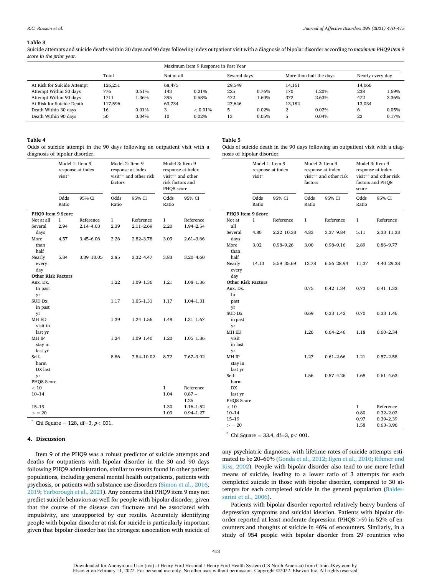#### <span id="page-5-0"></span>**Table 3**

Suicide attempts and suicide deaths within 30 days and 90 days following index outpatient visit with a diagnosis of bipolar disorder according to *maximum PHQ9 item 9 score in the prior year*.

|                             |         |       | Maximum Item 9 Response in Past Year |            |              |       |                         |       |                  |       |
|-----------------------------|---------|-------|--------------------------------------|------------|--------------|-------|-------------------------|-------|------------------|-------|
|                             | Total   |       | Not at all                           |            | Several days |       | More than half the days |       | Nearly every day |       |
| At Risk for Suicide Attempt | 126.251 |       | 68,475                               |            | 29.549       |       | 14.161                  |       | 14.066           |       |
| Attempt Within 30 days      | 776     | 0.61% | 143                                  | 0.21%      | 225          | 0.76% | 170                     | 1.20% | 238              | 1.69% |
| Attempt Within 90 days      | 1711    | 1.36% | 395                                  | 0.58%      | 472          | 1.60% | 372                     | 2.63% | 472              | 3.36% |
| At Risk for Suicide Death   | 117,596 |       | 63.734                               |            | 27,646       |       | 13.182                  |       | 13,034           |       |
| Death Within 30 days        | 16      | 0.01% | 3                                    | $< 0.01\%$ | 5            | 0.02% | 2                       | 0.02% | 6                | 0.05% |
| Death Within 90 days        | 50      | 0.04% | 10                                   | 0.02%      | 13           | 0.05% | 5                       | 0.04% | 22               | 0.17% |

#### **Table 4**

Odds of suicide attempt in the 90 days following an outpatient visit with a diagnosis of bipolar disorder.

| Odds<br>95% CI<br>Odds<br>95% CI<br>Odds<br>95% CI<br>Ratio<br>Ratio<br>Ratio<br>PHO9 Item 9 Score<br>Not at all<br>Reference<br>1<br>Reference<br>Reference<br>1<br>1<br>2.94<br>2.14-4.03<br>2.39<br>$2.11 - 2.69$<br>2.20<br>1.94-2.54<br>Several<br>days<br>More<br>3.26<br>4.57<br>3.45–6.06<br>$2.82 - 3.78$<br>3.09<br>2.61–3.66<br>than<br>half<br>3.85<br>3.32-4.47<br>3.83<br>$3.20 - 4.60$<br>Nearly<br>5.84<br>3.39-10.05<br>every<br>day<br><b>Other Risk Factors</b><br>Anx. Dx.<br>1.22<br>1.21<br>1.09-1.36<br>1.08-1.36<br>In past<br>yr<br>SUD Dx<br>1.17<br>1.05-1.31<br>1.17<br>1.04-1.31<br>in past<br>yr<br>MH ED<br>1.39<br>1.24-1.56<br>1.48<br>$1.31 - 1.67$<br>visit in<br>last yr<br>1.24<br>$1.09 - 1.40$<br>1.20<br>MH IP<br>1.05-1.36<br>stay in<br>last yr<br>Self-<br>8.86<br>7.84-10.02<br>8.72<br>7.67–9.92<br>harm<br>DX last<br>yr<br>PHQ8 Score<br>Reference<br>< 10<br>1<br>1.04<br>$10 - 14$<br>$0.87 -$<br>1.25<br>$15 - 19$<br>1.30<br>1.16–1.52 |      | Model 1: Item 9<br>response at index<br>visit* |  | factors | Model 2: Item 9<br>response at index<br>visit** and other risk | Model 3: Item 9<br>response at index<br>visit** and other<br>risk factors and<br>PHQ8 score |               |  |
|-------------------------------------------------------------------------------------------------------------------------------------------------------------------------------------------------------------------------------------------------------------------------------------------------------------------------------------------------------------------------------------------------------------------------------------------------------------------------------------------------------------------------------------------------------------------------------------------------------------------------------------------------------------------------------------------------------------------------------------------------------------------------------------------------------------------------------------------------------------------------------------------------------------------------------------------------------------------------------------------|------|------------------------------------------------|--|---------|----------------------------------------------------------------|---------------------------------------------------------------------------------------------|---------------|--|
|                                                                                                                                                                                                                                                                                                                                                                                                                                                                                                                                                                                                                                                                                                                                                                                                                                                                                                                                                                                           |      |                                                |  |         |                                                                |                                                                                             |               |  |
|                                                                                                                                                                                                                                                                                                                                                                                                                                                                                                                                                                                                                                                                                                                                                                                                                                                                                                                                                                                           |      |                                                |  |         |                                                                |                                                                                             |               |  |
|                                                                                                                                                                                                                                                                                                                                                                                                                                                                                                                                                                                                                                                                                                                                                                                                                                                                                                                                                                                           |      |                                                |  |         |                                                                |                                                                                             |               |  |
|                                                                                                                                                                                                                                                                                                                                                                                                                                                                                                                                                                                                                                                                                                                                                                                                                                                                                                                                                                                           |      |                                                |  |         |                                                                |                                                                                             |               |  |
|                                                                                                                                                                                                                                                                                                                                                                                                                                                                                                                                                                                                                                                                                                                                                                                                                                                                                                                                                                                           |      |                                                |  |         |                                                                |                                                                                             |               |  |
|                                                                                                                                                                                                                                                                                                                                                                                                                                                                                                                                                                                                                                                                                                                                                                                                                                                                                                                                                                                           |      |                                                |  |         |                                                                |                                                                                             |               |  |
|                                                                                                                                                                                                                                                                                                                                                                                                                                                                                                                                                                                                                                                                                                                                                                                                                                                                                                                                                                                           |      |                                                |  |         |                                                                |                                                                                             |               |  |
|                                                                                                                                                                                                                                                                                                                                                                                                                                                                                                                                                                                                                                                                                                                                                                                                                                                                                                                                                                                           |      |                                                |  |         |                                                                |                                                                                             |               |  |
|                                                                                                                                                                                                                                                                                                                                                                                                                                                                                                                                                                                                                                                                                                                                                                                                                                                                                                                                                                                           |      |                                                |  |         |                                                                |                                                                                             |               |  |
|                                                                                                                                                                                                                                                                                                                                                                                                                                                                                                                                                                                                                                                                                                                                                                                                                                                                                                                                                                                           |      |                                                |  |         |                                                                |                                                                                             |               |  |
|                                                                                                                                                                                                                                                                                                                                                                                                                                                                                                                                                                                                                                                                                                                                                                                                                                                                                                                                                                                           |      |                                                |  |         |                                                                |                                                                                             |               |  |
|                                                                                                                                                                                                                                                                                                                                                                                                                                                                                                                                                                                                                                                                                                                                                                                                                                                                                                                                                                                           |      |                                                |  |         |                                                                |                                                                                             |               |  |
|                                                                                                                                                                                                                                                                                                                                                                                                                                                                                                                                                                                                                                                                                                                                                                                                                                                                                                                                                                                           |      |                                                |  |         |                                                                |                                                                                             |               |  |
|                                                                                                                                                                                                                                                                                                                                                                                                                                                                                                                                                                                                                                                                                                                                                                                                                                                                                                                                                                                           |      |                                                |  |         |                                                                |                                                                                             |               |  |
|                                                                                                                                                                                                                                                                                                                                                                                                                                                                                                                                                                                                                                                                                                                                                                                                                                                                                                                                                                                           |      |                                                |  |         |                                                                |                                                                                             |               |  |
|                                                                                                                                                                                                                                                                                                                                                                                                                                                                                                                                                                                                                                                                                                                                                                                                                                                                                                                                                                                           |      |                                                |  |         |                                                                |                                                                                             |               |  |
|                                                                                                                                                                                                                                                                                                                                                                                                                                                                                                                                                                                                                                                                                                                                                                                                                                                                                                                                                                                           |      |                                                |  |         |                                                                |                                                                                             |               |  |
|                                                                                                                                                                                                                                                                                                                                                                                                                                                                                                                                                                                                                                                                                                                                                                                                                                                                                                                                                                                           |      |                                                |  |         |                                                                |                                                                                             |               |  |
|                                                                                                                                                                                                                                                                                                                                                                                                                                                                                                                                                                                                                                                                                                                                                                                                                                                                                                                                                                                           |      |                                                |  |         |                                                                |                                                                                             |               |  |
|                                                                                                                                                                                                                                                                                                                                                                                                                                                                                                                                                                                                                                                                                                                                                                                                                                                                                                                                                                                           |      |                                                |  |         |                                                                |                                                                                             |               |  |
|                                                                                                                                                                                                                                                                                                                                                                                                                                                                                                                                                                                                                                                                                                                                                                                                                                                                                                                                                                                           |      |                                                |  |         |                                                                |                                                                                             |               |  |
|                                                                                                                                                                                                                                                                                                                                                                                                                                                                                                                                                                                                                                                                                                                                                                                                                                                                                                                                                                                           |      |                                                |  |         |                                                                |                                                                                             |               |  |
|                                                                                                                                                                                                                                                                                                                                                                                                                                                                                                                                                                                                                                                                                                                                                                                                                                                                                                                                                                                           |      |                                                |  |         |                                                                |                                                                                             |               |  |
|                                                                                                                                                                                                                                                                                                                                                                                                                                                                                                                                                                                                                                                                                                                                                                                                                                                                                                                                                                                           |      |                                                |  |         |                                                                |                                                                                             |               |  |
|                                                                                                                                                                                                                                                                                                                                                                                                                                                                                                                                                                                                                                                                                                                                                                                                                                                                                                                                                                                           |      |                                                |  |         |                                                                |                                                                                             |               |  |
|                                                                                                                                                                                                                                                                                                                                                                                                                                                                                                                                                                                                                                                                                                                                                                                                                                                                                                                                                                                           |      |                                                |  |         |                                                                |                                                                                             |               |  |
|                                                                                                                                                                                                                                                                                                                                                                                                                                                                                                                                                                                                                                                                                                                                                                                                                                                                                                                                                                                           |      |                                                |  |         |                                                                |                                                                                             |               |  |
|                                                                                                                                                                                                                                                                                                                                                                                                                                                                                                                                                                                                                                                                                                                                                                                                                                                                                                                                                                                           |      |                                                |  |         |                                                                |                                                                                             |               |  |
|                                                                                                                                                                                                                                                                                                                                                                                                                                                                                                                                                                                                                                                                                                                                                                                                                                                                                                                                                                                           | > 20 |                                                |  |         |                                                                | 1.09                                                                                        | $0.94 - 1.27$ |  |

 $\chi$  Chi Square = 128, df=3, *p*< 001.

#### **4. Discussion**

Item 9 of the PHQ9 was a robust predictor of suicide attempts and deaths for outpatients with bipolar disorder in the 30 and 90 days following PHQ9 administration, similar to results found in other patient populations, including general mental health outpatients, patients with psychosis, or patients with substance use disorders ([Simon et al., 2016](#page-7-0), [2019; Yarborough et al., 2021](#page-7-0)). Any concerns that PHQ9 item 9 may not predict suicide behaviors as well for people with bipolar disorder, given that the course of the disease can fluctuate and be associated with impulsivity, are unsupported by our results. Accurately identifying people with bipolar disorder at risk for suicide is particularly important given that bipolar disorder has the strongest association with suicide of

### **Table 5**

Odds of suicide death in the 90 days following an outpatient visit with a diagnosis of bipolar disorder.

|                                  | Model 1: Item 9<br>response at index<br>visit* |               | factors       | Model 2: Item 9<br>response at index<br>visit** and other risk | Model 3: Item 9<br>response at index<br>visit** and other risk<br>factors and PHQ8<br>score |               |  |
|----------------------------------|------------------------------------------------|---------------|---------------|----------------------------------------------------------------|---------------------------------------------------------------------------------------------|---------------|--|
|                                  | Odds<br>Ratio                                  | 95% CI        | Odds<br>Ratio | 95% CI                                                         | Odds<br>Ratio                                                                               | 95% CI        |  |
| PHO9 Item 9 Score                |                                                |               |               |                                                                |                                                                                             |               |  |
| Not at                           | 1                                              | Reference     | $\mathbf{1}$  | Reference                                                      | 1                                                                                           | Reference     |  |
| all                              |                                                |               |               |                                                                |                                                                                             |               |  |
| Several                          | 4.80                                           | 2.22-10.38    | 4.83          | 3.37-9.84                                                      | 5.11                                                                                        | 2.33-11.33    |  |
| days                             |                                                |               |               |                                                                |                                                                                             |               |  |
| More                             | 3.02                                           | $0.98 - 9.26$ | 3.00          | $0.98 - 9.16$                                                  | 2.89                                                                                        | $0.86 - 9.77$ |  |
| than                             |                                                |               |               |                                                                |                                                                                             |               |  |
| half                             |                                                |               |               |                                                                |                                                                                             |               |  |
| Nearly                           | 14.13                                          | 5.59 - 35.69  | 13.78         | 6.56–28.94                                                     | 11.37                                                                                       | 4.40-29.38    |  |
| every                            |                                                |               |               |                                                                |                                                                                             |               |  |
| day<br><b>Other Risk Factors</b> |                                                |               |               |                                                                |                                                                                             |               |  |
| Anx. Dx.                         |                                                |               | 0.75          | $0.42 - 1.34$                                                  | 0.73                                                                                        | $0.41 - 1.32$ |  |
| In                               |                                                |               |               |                                                                |                                                                                             |               |  |
| past                             |                                                |               |               |                                                                |                                                                                             |               |  |
| yr                               |                                                |               |               |                                                                |                                                                                             |               |  |
| <b>SUD Dx</b>                    |                                                |               | 0.69          | $0.33 - 1.42$                                                  | 0.70                                                                                        | $0.33 - 1.46$ |  |
| in past                          |                                                |               |               |                                                                |                                                                                             |               |  |
| yr                               |                                                |               |               |                                                                |                                                                                             |               |  |
| MH ED                            |                                                |               | 1.26          | $0.64 - 2.46$                                                  | 1.18                                                                                        | $0.60 - 2.34$ |  |
| visit                            |                                                |               |               |                                                                |                                                                                             |               |  |
| in last                          |                                                |               |               |                                                                |                                                                                             |               |  |
| yr                               |                                                |               |               |                                                                |                                                                                             |               |  |
| MH IP                            |                                                |               | 1.27          | $0.61 - 2.66$                                                  | 1.21                                                                                        | $0.57 - 2.58$ |  |
| stay in                          |                                                |               |               |                                                                |                                                                                             |               |  |
| last yr                          |                                                |               |               |                                                                |                                                                                             |               |  |
| Self-                            |                                                |               | 1.56          | $0.57 - 4.26$                                                  | 1.68                                                                                        | $0.61 - 4.63$ |  |
| harm<br>DX                       |                                                |               |               |                                                                |                                                                                             |               |  |
| last yr                          |                                                |               |               |                                                                |                                                                                             |               |  |
| PHQ8 Score                       |                                                |               |               |                                                                |                                                                                             |               |  |
| $<10\,$                          |                                                |               |               |                                                                | 1                                                                                           | Reference     |  |
| $10 - 14$                        |                                                |               |               |                                                                | 0.80                                                                                        | $0.32 - 2.02$ |  |
| $15 - 19$                        |                                                |               |               |                                                                | 0.97                                                                                        | $0.39 - 2.39$ |  |
| > 20                             |                                                |               |               |                                                                | 1.58                                                                                        | $0.63 - 3.96$ |  |

\* Chi Square = 33.4, df=3, *p<* 001.

any psychiatric diagnoses, with lifetime rates of suicide attempts estimated to be 20–60% [\(Gonda et al., 2012; Ilgen et al., 2010](#page-7-0); [Rihmer and](#page-7-0)  [Kiss, 2002\)](#page-7-0). People with bipolar disorder also tend to use more lethal means of suicide, leading to a lower ratio of 3 attempts for each completed suicide in those with bipolar disorder, compared to 30 attempts for each completed suicide in the general population [\(Baldes](#page-6-0)[sarini et al., 2006\)](#page-6-0).

Patients with bipolar disorder reported relatively heavy burdens of depression symptoms and suicidal ideation. Patients with bipolar disorder reported at least moderate depression (PHQ8 *>*9) in 52% of encounters and thoughts of suicide in 46% of encounters. Similarly, in a study of 954 people with bipolar disorder from 29 countries who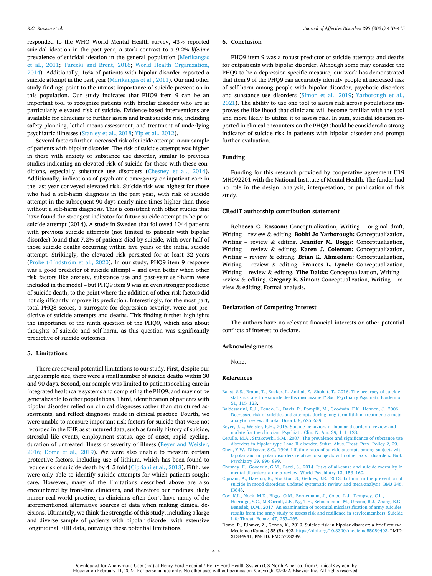<span id="page-6-0"></span>responded to the WHO World Mental Health survey, 43% reported suicidal ideation in the past year, a stark contrast to a 9.2% *lifetime*  prevalence of suicidal ideation in the general population [\(Merikangas](#page-7-0)  [et al., 2011;](#page-7-0) [Turecki and Brent, 2016](#page-7-0); [World Health Organization,](#page-7-0)  [2014\)](#page-7-0). Additionally, 16% of patients with bipolar disorder reported a suicide attempt in the past year [\(Merikangas et al., 2011\)](#page-7-0). Our and other study findings point to the utmost importance of suicide prevention in this population. Our study indicates that PHQ9 item 9 can be an important tool to recognize patients with bipolar disorder who are at particularly elevated risk of suicide. Evidence-based interventions are available for clinicians to further assess and treat suicide risk, including safety planning, lethal means assessment, and treatment of underlying psychiatric illnesses ([Stanley et al., 2018; Yip et al., 2012\)](#page-7-0).

Several factors further increased risk of suicide attempt in our sample of patients with bipolar disorder. The risk of suicide attempt was higher in those with anxiety or substance use disorder, similar to previous studies indicating an elevated risk of suicide for those with these conditions, especially substance use disorders (Chesney et al., 2014). Additionally, indications of psychiatric emergency or inpatient care in the last year conveyed elevated risk. Suicide risk was highest for those who had a self-harm diagnosis in the past year, with risk of suicide attempt in the subsequent 90 days nearly nine times higher than those without a self-harm diagnosis. This is consistent with other studies that have found the strongest indicator for future suicide attempt to be prior suicide attempt (2014). A study in Sweden that followed 1044 patients with previous suicide attempts (not limited to patients with bipolar disorder) found that 7.2% of patients died by suicide, with over half of those suicide deaths occurring within five years of the initial suicide attempt. Strikingly, the elevated risk persisted for at least 32 years (Probert-Lindström et al., 2020). In our study, PHQ9 item 9 response was a good predictor of suicide attempt – and even better when other risk factors like anxiety, substance use and past-year self-harm were included in the model – but PHQ9 item 9 was an even stronger predictor of suicide death, to the point where the addition of other risk factors did not significantly improve its prediction. Interestingly, for the most part, total PHQ8 scores, a surrogate for depression severity, were not predictive of suicide attempts and deaths. This finding further highlights the importance of the ninth question of the PHQ9, which asks about thoughts of suicide and self-harm, as this question was significantly predictive of suicide outcomes.

#### **5. Limitations**

There are several potential limitations to our study. First, despite our large sample size, there were a small number of suicide deaths within 30 and 90 days. Second, our sample was limited to patients seeking care in integrated healthcare systems and completing the PHQ9, and may not be generalizable to other populations. Third, identification of patients with bipolar disorder relied on clinical diagnoses rather than structured assessments, and reflect diagnoses made in clinical practice. Fourth, we were unable to measure important risk factors for suicide that were not recorded in the EHR as structured data, such as family history of suicide, stressful life events, employment status, age of onset, rapid cycling, duration of untreated illness or severity of illness (Beyer and Weisler, 2016; Dome et al., 2019). We were also unable to measure certain protective factors, including use of lithium, which has been found to reduce risk of suicide death by 4–5 fold (Cipriani et al., 2013). Fifth, we were only able to identify suicide attempts for which patients sought care. However, many of the limitations described above are also encountered by front-line clinicians, and therefore our findings likely mirror real-world practice, as clinicians often don't have many of the aforementioned alternative sources of data when making clinical decisions. Ultimately, we think the strengths of this study, including a large and diverse sample of patients with bipolar disorder with extensive longitudinal EHR data, outweigh these potential limitations.

#### **6. Conclusion**

PHQ9 item 9 was a robust predictor of suicide attempts and deaths for outpatients with bipolar disorder. Although some may consider the PHQ9 to be a depression-specific measure, our work has demonstrated that item 9 of the PHQ9 can accurately identify people at increased risk of self-harm among people with bipolar disorder, psychotic disorders and substance use disorders ([Simon et al., 2019;](#page-7-0) [Yarborough et al.,](#page-7-0)  [2021\)](#page-7-0). The ability to use one tool to assess risk across populations improves the likelihood that clinicians will become familiar with the tool and more likely to utilize it to assess risk. In sum, suicidal ideation reported in clinical encounters on the PHQ9 should be considered a strong indicator of suicide risk in patients with bipolar disorder and prompt further evaluation.

#### **Funding**

Funding for this research provided by cooperative agreement U19 MH092201 with the National Institute of Mental Health. The funder had no role in the design, analysis, interpretation, or publication of this study.

### **CRediT authorship contribution statement**

**Rebecca C. Rossom:** Conceptualization, Writing – original draft, Writing – review & editing. **Bobbi Jo Yarborough:** Conceptualization, Writing – review & editing. **Jennifer M. Boggs:** Conceptualization, Writing – review & editing. **Karen J. Coleman:** Conceptualization, Writing – review & editing. **Brian K. Ahmedani:** Conceptualization, Writing – review & editing. **Frances L. Lynch:** Conceptualization, Writing – review & editing. **Yihe Daida:** Conceptualization, Writing – review & editing. **Gregory E. Simon:** Conceptualization, Writing – review & editing, Formal analysis.

#### **Declaration of Competing Interest**

The authors have no relevant financial interests or other potential conflicts of interest to declare.

#### **Acknowledgments**

None.

# **References**

- [Bakst, S.S., Braun, T., Zucker, I., Amitai, Z., Shohat, T., 2016. The accuracy of suicide](http://refhub.elsevier.com/S0165-0327(21)00865-X/sbref0002)  [statistics: are true suicide deaths misclassified? Soc. Psychiatry Psychiatr. Epidemiol.](http://refhub.elsevier.com/S0165-0327(21)00865-X/sbref0002)  [51, 115](http://refhub.elsevier.com/S0165-0327(21)00865-X/sbref0002)–123.
- [Baldessarini, R.J., Tondo, L., Davis, P., Pompili, M., Goodwin, F.K., Hennen, J., 2006.](http://refhub.elsevier.com/S0165-0327(21)00865-X/sbref0003) [Decreased risk of suicides and attempts during long-term lithium treatment: a meta](http://refhub.elsevier.com/S0165-0327(21)00865-X/sbref0003)[analytic review. Bipolar Disord. 8, 625](http://refhub.elsevier.com/S0165-0327(21)00865-X/sbref0003)–639.
- [Beyer, J.L., Weisler, R.H., 2016. Suicide behaviors in bipolar disorder: a review and](http://refhub.elsevier.com/S0165-0327(21)00865-X/sbref0004) [update for the clinician. Psychiatr. Clin. N. Am. 39, 111](http://refhub.elsevier.com/S0165-0327(21)00865-X/sbref0004)–123.
- [Cerullo, M.A., Strakowski, S.M., 2007. The prevalence and significance of substance use](http://refhub.elsevier.com/S0165-0327(21)00865-X/sbref0005)  [disorders in bipolar type I and II disorder. Subst. Abus. Treat. Prev. Policy 2, 29.](http://refhub.elsevier.com/S0165-0327(21)00865-X/sbref0005)
- [Chen, Y.W., Dilsaver, S.C., 1996. Lifetime rates of suicide attempts among subjects with](http://refhub.elsevier.com/S0165-0327(21)00865-X/sbref0006)  [bipolar and unipolar disorders relative to subjects with other axis I disorders. Biol.](http://refhub.elsevier.com/S0165-0327(21)00865-X/sbref0006)  [Psychiatry 39, 896](http://refhub.elsevier.com/S0165-0327(21)00865-X/sbref0006)–899.
- [Chesney, E., Goodwin, G.M., Fazel, S., 2014. Risks of all-cause and suicide mortality in](http://refhub.elsevier.com/S0165-0327(21)00865-X/sbref0007) [mental disorders: a meta-review. World Psychiatry 13, 153](http://refhub.elsevier.com/S0165-0327(21)00865-X/sbref0007)–160.
- [Cipriani, A., Hawton, K., Stockton, S., Geddes, J.R., 2013. Lithium in the prevention of](http://refhub.elsevier.com/S0165-0327(21)00865-X/sbref0008) [suicide in mood disorders: updated systematic review and meta-analysis. BMJ 346,](http://refhub.elsevier.com/S0165-0327(21)00865-X/sbref0008)  [f3646.](http://refhub.elsevier.com/S0165-0327(21)00865-X/sbref0008)
- [Cox, K.L., Nock, M.K., Biggs, Q.M., Bornemann, J., Colpe, L.J., Dempsey, C.L.,](http://refhub.elsevier.com/S0165-0327(21)00865-X/sbref0009)  [Heeringa, S.G., McCarroll, J.E., Ng, T.H., Schoenbaum, M., Ursano, R.J., Zhang, B.G.,](http://refhub.elsevier.com/S0165-0327(21)00865-X/sbref0009)  [Benedek, D.M., 2017. An examination of potential misclassification of army suicides:](http://refhub.elsevier.com/S0165-0327(21)00865-X/sbref0009)  [results from the army study to assess risk and resilience in servicemembers. Suicide](http://refhub.elsevier.com/S0165-0327(21)00865-X/sbref0009)  [Life Threat. Behav. 47, 257](http://refhub.elsevier.com/S0165-0327(21)00865-X/sbref0009)–265.
- Dome, P., Rihmer, Z., Gonda, X., 2019. Suicide risk in bipolar disorder: a brief review. Medicina (Kaunas) 55 (8), 403. [https://doi.org/10.3390/medicina55080403.](https://doi.org/10.3390/medicina55080403) PMID: 31344941; PMCID: PMC6723289.